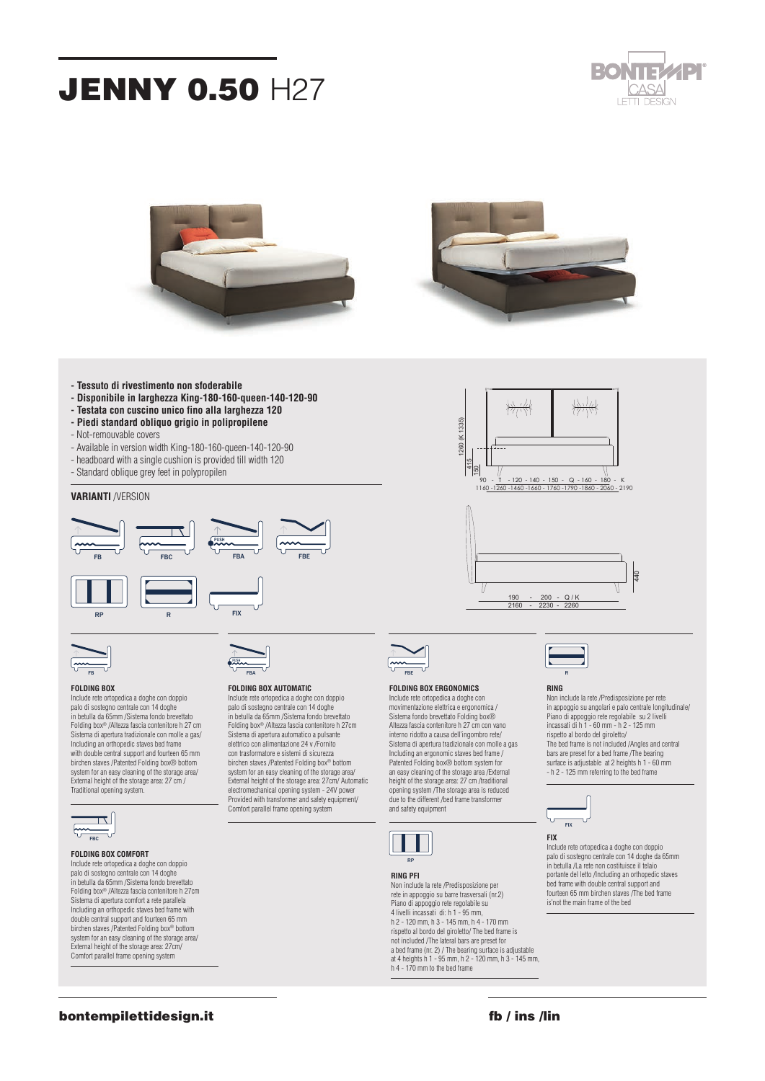# **JENNY 0.50 H27**







- **Tessuto di rivestimento non sfoderabile**
- **Disponibile in larghezza King-180-160-queen-140-120-90**
- **Testata con cuscino unico fino alla larghezza 120**
- **Piedi standard obliquo grigio in polipropilene**
- Not-remouvable covers
- Available in version width King-180-160-queen-140-120-90
- headboard with a single cushion is provided till width 120
- Standard oblique grey feet in polypropilen
- 

## **VARIANTI** /VERSION







# PUSH

### **FOLDING BOX**

Include rete ortopedica a doghe con doppio palo di sostegno centrale con 14 doghe in betulla da 65mm /Sistema fondo brevettato Folding box® /Altezza fascia contenitore h 27 cm Sistema di apertura tradizionale con molle a gas/ Including an orthopedic staves bed frame with double central support and fourteen 65 mm birchen staves /Patented Folding box® bottom system for an easy cleaning of the storage area/ External height of the storage area: 27 cm / Traditional opening system.



### **FOLDING BOX COMFORT** Include rete ortopedica a doghe con doppio

palo di sostegno centrale con 14 doghe in betulla da 65mm /Sistema fondo brevettato Folding box® /Altezza fascia contenitore h 27cm Sistema di apertura comfort a rete parallela Including an orthopedic staves bed frame with double central support and fourteen 65 mm birchen staves /Patented Folding box® bottom system for an easy cleaning of the storage area/ External height of the storage area: 27cm/ Comfort parallel frame opening system



## **FOLDING BOX AUTOMATIC**

Include rete ortopedica a doghe con doppio palo di sostegno centrale con 14 doghe in betulla da 65mm /Sistema fondo brevettato Folding box® /Altezza fascia contenitore h 27cm Sistema di apertura automatico a pulsante elettrico con alimentazione 24 v /Fornito con trasformatore e sistemi di sicurezza birchen staves /Patented Folding box® bottom system for an easy cleaning of the storage area/ External height of the storage area: 27cm/ Automatic electromechanical opening system - 24V power Provided with transformer and safety equipment/ Comfort parallel frame opening system



# **FOLDING BOX ERGONOMICS**

Include rete ortopedica a doghe con movimentazione elettrica e ergonomica / Sistema fondo brevettato Folding box® Altezza fascia contenitore h 27 cm con vano interno ridotto a causa dell'ingombro rete/ Sistema di apertura tradizionale con molle a gas Including an ergonomic staves bed frame / Patented Folding box® bottom system for an easy cleaning of the storage area /External height of the storage area: 27 cm /traditional opening system /The storage area is reduced due to the different /bed frame transformer and safety equipment

**JENNY 050 FOLDING BOX**



## **RING PFI**

Non include la rete /Predisposizione per rete in appoggio su barre trasversali (nr.2) Piano di appoggio rete regolabile su 4 livelli incassati di: h 1 - 95 mm, h 2 - 120 mm, h 3 - 145 mm, h 4 - 170 mm rispetto al bordo del giroletto/ The bed frame is not included /The lateral bars are preset for a bed frame (nr. 2) / The bearing surface is adjustable at 4 heights h 1 - 95 mm, h 2 - 120 mm, h 3 - 145 mm, h 4 - 170 mm to the bed frame



## **RING**

Non include la rete /Predisposizione per rete in appoggio su angolari e palo centrale longitudinale/ Piano di appoggio rete regolabile su 2 livelli incassati di h 1 - 60 mm - h 2 - 125 mm rispetto al bordo del giroletto/ The bed frame is not included /Angles and central bars are preset for a bed frame /The bearing surface is adjustable at 2 heights h  $1 - 60$  mm - h 2 - 125 mm referring to the bed frame

frazione monterolo 144 / c





Include rete ortopedica a doghe con doppio palo di sostegno centrale con 14 doghe da 65mm in betulla /La rete non costituisce il telaio portante del letto /Including an orthopedic staves bed frame with double central support and fourteen 65 mm birchen staves /The bed frame is'not the main frame of the bed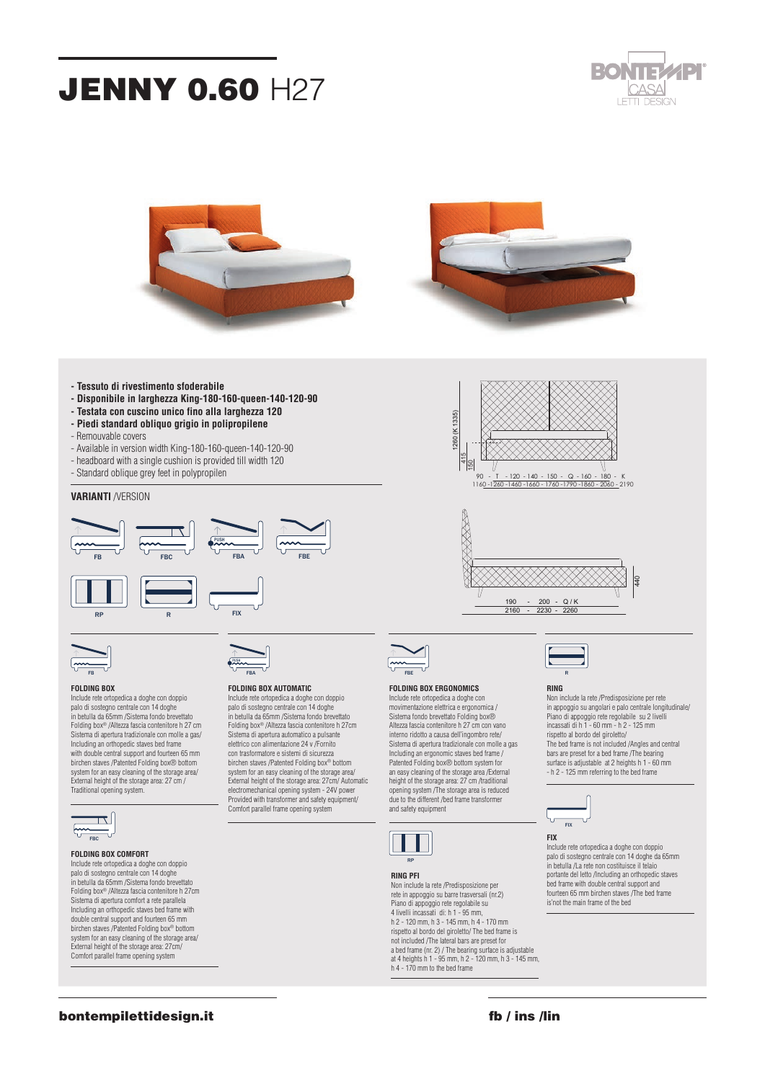# **JENNY 0.60 H27**







- **Tessuto di rivestimento sfoderabile**
- **Disponibile in larghezza King-180-160-queen-140-120-90**
- **Testata con cuscino unico fino alla larghezza 120**
- **Piedi standard obliquo grigio in polipropilene**
- Remouvable covers
- Available in version width King-180-160-queen-140-120-90
- headboard with a single cushion is provided till width 120
- Standard oblique grey feet in polypropilen

## **VARIANTI** /VERSION





## **FOLDING BOX** FB

Include rete ortopedica a doghe con doppio palo di sostegno centrale con 14 doghe in betulla da 65mm /Sistema fondo brevettato Folding box® /Altezza fascia contenitore h 27 cm Sistema di apertura tradizionale con molle a gas/ Including an orthopedic staves bed frame with double central support and fourteen 65 mm birchen staves /Patented Folding box® bottom system for an easy cleaning of the storage area/ External height of the storage area: 27 cm / Traditional opening system.



## **FOLDING BOX COMFORT** Include rete ortopedica a doghe con doppio

palo di sostegno centrale con 14 doghe in betulla da 65mm /Sistema fondo brevettato Folding box® /Altezza fascia contenitore h 27cm Sistema di apertura comfort a rete parallela Including an orthopedic staves bed frame with double central support and fourteen 65 mm birchen staves /Patented Folding box® bottom system for an easy cleaning of the storage area/ External height of the storage area: 27cm/ Comfort parallel frame opening system



PUSH

## **FOLDING BOX AUTOMATIC**

Include rete ortopedica a doghe con doppio palo di sostegno centrale con 14 doghe in betulla da 65mm /Sistema fondo brevettato Folding box® /Altezza fascia contenitore h 27cm Sistema di apertura automatico a pulsante elettrico con alimentazione 24 v /Fornito con trasformatore e sistemi di sicurezza birchen staves /Patented Folding box® bottom system for an easy cleaning of the storage area/ External height of the storage area: 27cm/ Automatic electromechanical opening system - 24V power Provided with transformer and safety equipment/ Comfort parallel frame opening system



## **FOLDING BOX ERGONOMICS**

Include rete ortopedica a doghe con movimentazione elettrica e ergonomica / Sistema fondo brevettato Folding box® Altezza fascia contenitore h 27 cm con vano interno ridotto a causa dell'ingombro rete/ Sistema di apertura tradizionale con molle a gas Including an ergonomic staves bed frame / Patented Folding box® bottom system for an easy cleaning of the storage area /External height of the storage area: 27 cm /traditional opening system /The storage area is reduced due to the different /bed frame transformer and safety equipment

**JENNY 060 FOLDING BOX**

1260 (K 1335)

1260 (K 1335)

415 150

XXXXX



## **RING PFI**

Non include la rete /Predisposizione per rete in appoggio su barre trasversali (nr.2) Piano di appoggio rete regolabile su 4 livelli incassati di: h 1 - 95 mm, h 2 - 120 mm, h 3 - 145 mm, h 4 - 170 mm rispetto al bordo del giroletto/ The bed frame is not included /The lateral bars are preset for a bed frame (nr. 2) / The bearing surface is adjustable at 4 heights h 1 - 95 mm, h 2 - 120 mm, h 3 - 145 mm, h 4 - 170 mm to the bed frame



 $Q/K$ 

2160 - 2230 - 2260

### **RING**

 90 - T - 120 - 140 - 150 - Q - 160 - 180 - K 1160 -1260 -1460 -1660 - 1760 -1790 -1860 - 2060 - 2190

> Non include la rete /Predisposizione per rete in appoggio su angolari e palo centrale longitudinale/ Piano di appoggio rete regolabile su 2 livelli incassati di h 1 - 60 mm - h 2 - 125 mm rispetto al bordo del giroletto/ The bed frame is not included /Angles and central bars are preset for a bed frame /The bearing surface is adjustable at 2 heights h  $1 - 60$  mm - h 2 - 125 mm referring to the bed frame

440



FIX **FIX**

Include rete ortopedica a doghe con doppio palo di sostegno centrale con 14 doghe da 65mm in betulla /La rete non costituisce il telaio portante del letto /Including an orthopedic staves bed frame with double central support and fourteen 65 mm birchen staves /The bed frame is'not the main frame of the bed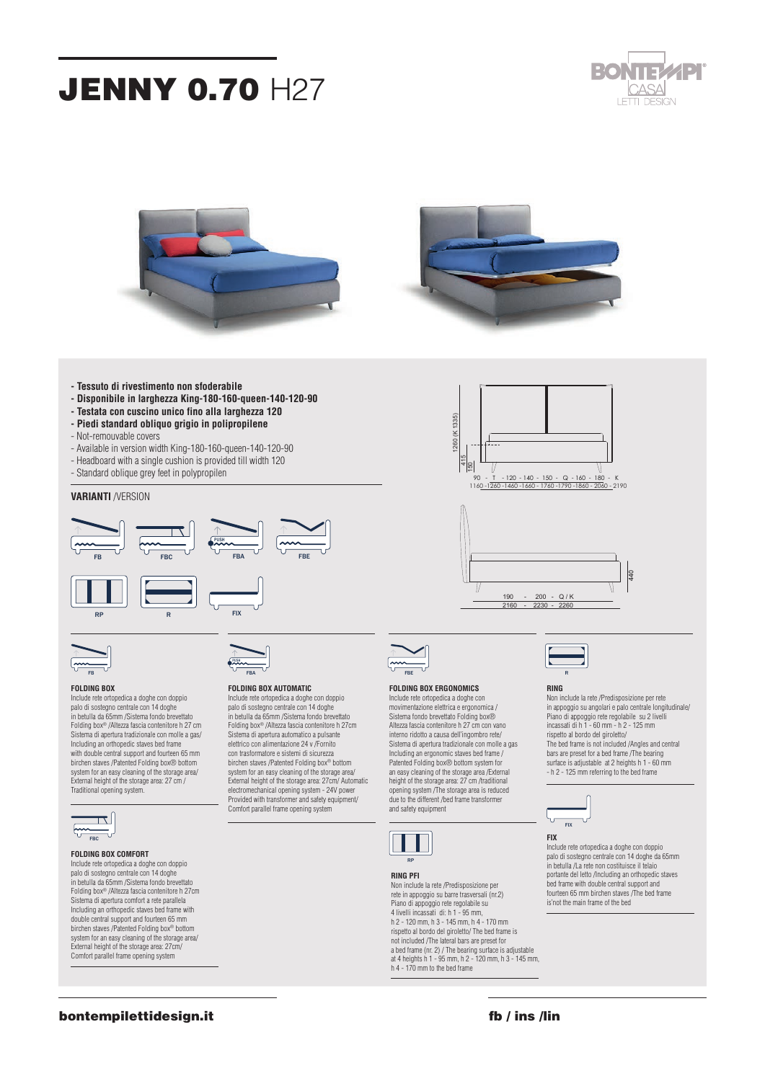# **JENNY 0.70 H27**







- **Tessuto di rivestimento non sfoderabile**
- **Disponibile in larghezza King-180-160-queen-140-120-90**
- **Testata con cuscino unico fino alla larghezza 120**
- **Piedi standard obliquo grigio in polipropilene**
- Not-remouvable covers
- Available in version width King-180-160-queen-140-120-90
- Headboard with a single cushion is provided till width 120
- Standard oblique grey feet in polypropilen

# **VARIANTI** /VERSION





## **FOLDING BOX ERGONOMICS** FBE

Include rete ortopedica a doghe con movimentazione elettrica e ergonomica / Sistema fondo brevettato Folding box® Altezza fascia contenitore h 27 cm con vano interno ridotto a causa dell'ingombro rete/ Sistema di apertura tradizionale con molle a gas Including an ergonomic staves bed frame / Patented Folding box® bottom system for an easy cleaning of the storage area /External height of the storage area: 27 cm /traditional opening system /The storage area is reduced due to the different /bed frame transformer and safety equipment

1260 (K 1335)

(K 1335) 260

 $rac{415}{150}$ 



## **RING PFI**

Non include la rete /Predisposizione per rete in appoggio su barre trasversali (nr.2) Piano di appoggio rete regolabile su 4 livelli incassati di: h 1 - 95 mm, h 2 - 120 mm, h 3 - 145 mm, h 4 - 170 mm rispetto al bordo del giroletto/ The bed frame is not included /The lateral bars are preset for a bed frame (nr. 2) / The bearing surface is adjustable at 4 heights h 1 - 95 mm, h 2 - 120 mm, h 3 - 145 mm, h 4 - 170 mm to the bed frame



## **RING**

190 - 200 - Q / K 2160 - 2230 - 2260

 90 - T - 120 - 140 - 150 - Q - 160 - 180 - K 1160 -1260 -1460 -1660 - 1760 -1790 -1860 - 2060 - 2190

> Non include la rete /Predisposizione per rete in appoggio su angolari e palo centrale longitudinale/ Piano di appoggio rete regolabile su 2 livelli incassati di h 1 - 60 mm - h 2 - 125 mm rispetto al bordo del giroletto/ The bed frame is not included /Angles and central bars are preset for a bed frame /The bearing surface is adjustable at 2 heights h  $1 - 60$  mm

61045 pergola (PU)

15





Include rete ortopedica a doghe con doppio palo di sostegno centrale con 14 doghe da 65mm in betulla /La rete non costituisce il telaio portante del letto /Including an orthopedic staves bed frame with double central support and fourteen 65 mm birchen staves /The bed frame is'not the main frame of the bed



Include rete ortopedica a doghe con doppio palo di sostegno centrale con 14 doghe in betulla da 65mm /Sistema fondo brevettato Folding box® /Altezza fascia contenitore h 27 cm Sistema di apertura tradizionale con molle a gas/ Including an orthopedic staves bed frame with double central support and fourteen 65 mm birchen staves /Patented Folding box® bottom system for an easy cleaning of the storage area/ External height of the storage area: 27 cm / Traditional opening system.



### **FOLDING BOX COMFORT** Include rete ortopedica a doghe con doppio

palo di sostegno centrale con 14 doghe in betulla da 65mm /Sistema fondo brevettato Folding box® /Altezza fascia contenitore h 27cm Sistema di apertura comfort a rete parallela Including an orthopedic staves bed frame with double central support and fourteen 65 mm birchen staves /Patented Folding box® bottom system for an easy cleaning of the storage area/ External height of the storage area: 27cm/ Comfort parallel frame opening system



## **FOLDING BOX AUTOMATIC**

PUSH

Include rete ortopedica a doghe con doppio palo di sostegno centrale con 14 doghe in betulla da 65mm /Sistema fondo brevettato Folding box® /Altezza fascia contenitore h 27cm Sistema di apertura automatico a pulsante elettrico con alimentazione 24 v /Fornito con trasformatore e sistemi di sicurezza birchen staves /Patented Folding box® bottom system for an easy cleaning of the storage area/ External height of the storage area: 27cm/ Automatic electromechanical opening system - 24V power Provided with transformer and safety equipment/ Comfort parallel frame opening system

**FIX**